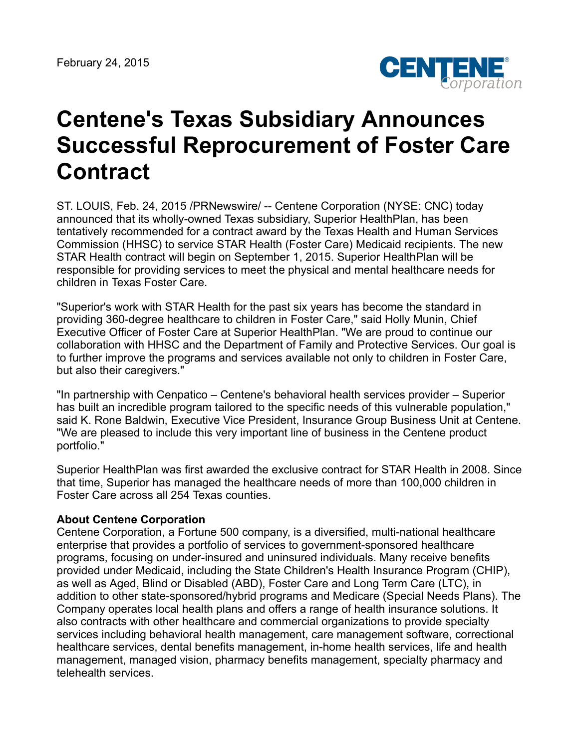

## **Centene's Texas Subsidiary Announces Successful Reprocurement of Foster Care Contract**

ST. LOUIS, Feb. 24, 2015 /PRNewswire/ -- Centene Corporation (NYSE: CNC) today announced that its wholly-owned Texas subsidiary, Superior HealthPlan, has been tentatively recommended for a contract award by the Texas Health and Human Services Commission (HHSC) to service STAR Health (Foster Care) Medicaid recipients. The new STAR Health contract will begin on September 1, 2015. Superior HealthPlan will be responsible for providing services to meet the physical and mental healthcare needs for children in Texas Foster Care.

"Superior's work with STAR Health for the past six years has become the standard in providing 360-degree healthcare to children in Foster Care," said Holly Munin, Chief Executive Officer of Foster Care at Superior HealthPlan. "We are proud to continue our collaboration with HHSC and the Department of Family and Protective Services. Our goal is to further improve the programs and services available not only to children in Foster Care, but also their caregivers."

"In partnership with Cenpatico – Centene's behavioral health services provider – Superior has built an incredible program tailored to the specific needs of this vulnerable population," said K. Rone Baldwin, Executive Vice President, Insurance Group Business Unit at Centene. "We are pleased to include this very important line of business in the Centene product portfolio."

Superior HealthPlan was first awarded the exclusive contract for STAR Health in 2008. Since that time, Superior has managed the healthcare needs of more than 100,000 children in Foster Care across all 254 Texas counties.

## **About Centene Corporation**

Centene Corporation, a Fortune 500 company, is a diversified, multi-national healthcare enterprise that provides a portfolio of services to government-sponsored healthcare programs, focusing on under-insured and uninsured individuals. Many receive benefits provided under Medicaid, including the State Children's Health Insurance Program (CHIP), as well as Aged, Blind or Disabled (ABD), Foster Care and Long Term Care (LTC), in addition to other state-sponsored/hybrid programs and Medicare (Special Needs Plans). The Company operates local health plans and offers a range of health insurance solutions. It also contracts with other healthcare and commercial organizations to provide specialty services including behavioral health management, care management software, correctional healthcare services, dental benefits management, in-home health services, life and health management, managed vision, pharmacy benefits management, specialty pharmacy and telehealth services.